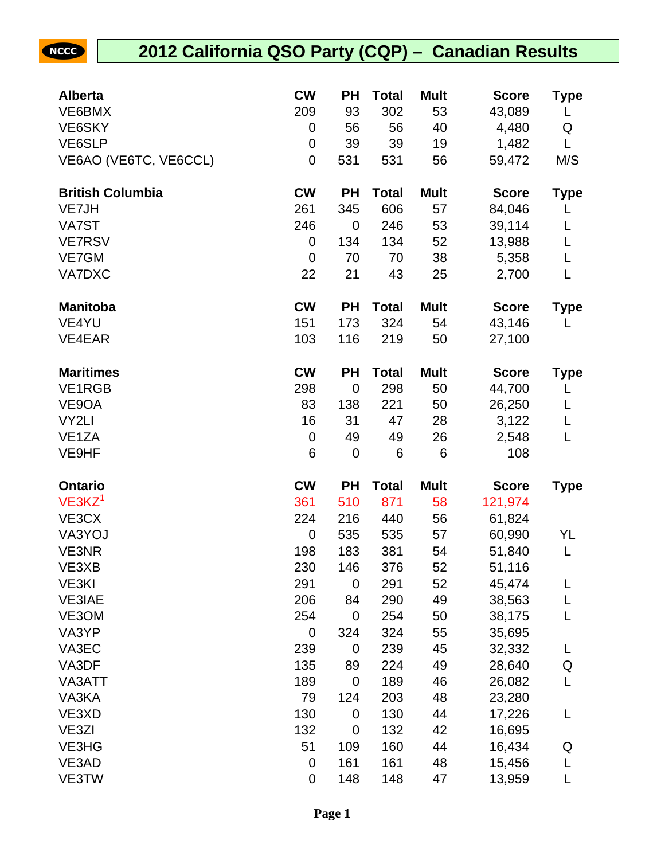## NCCC

## **2012 California QSO Party (CQP) – Canadian Results**

| <b>Alberta</b>          | <b>CW</b>        | <b>PH</b>   | <b>Total</b> | <b>Mult</b> | <b>Score</b> | Type        |
|-------------------------|------------------|-------------|--------------|-------------|--------------|-------------|
| VE6BMX                  | 209              | 93          | 302          | 53          | 43,089       | L           |
| VE6SKY                  | 0                | 56          | 56           | 40          | 4,480        | Q           |
| VE6SLP                  | $\mathbf 0$      | 39          | 39           | 19          | 1,482        | L           |
| VE6AO (VE6TC, VE6CCL)   | 0                | 531         | 531          | 56          | 59,472       | M/S         |
| <b>British Columbia</b> | <b>CW</b>        | <b>PH</b>   | <b>Total</b> | <b>Mult</b> | <b>Score</b> | <b>Type</b> |
| VE7JH                   | 261              | 345         | 606          | 57          | 84,046       | L           |
| VA7ST                   | 246              | $\mathbf 0$ | 246          | 53          | 39,114       | L           |
| <b>VE7RSV</b>           | 0                | 134         | 134          | 52          | 13,988       | L           |
| VE7GM                   | $\mathbf 0$      | 70          | 70           | 38          | 5,358        | L           |
| VA7DXC                  | 22               | 21          | 43           | 25          | 2,700        | L           |
| <b>Manitoba</b>         | <b>CW</b>        | <b>PH</b>   | <b>Total</b> | <b>Mult</b> | <b>Score</b> | <b>Type</b> |
| VE4YU                   | 151              | 173         | 324          | 54          | 43,146       | L           |
| VE4EAR                  | 103              | 116         | 219          | 50          | 27,100       |             |
| <b>Maritimes</b>        | <b>CW</b>        | <b>PH</b>   | <b>Total</b> | <b>Mult</b> | <b>Score</b> | <b>Type</b> |
| <b>VE1RGB</b>           | 298              | $\mathbf 0$ | 298          | 50          | 44,700       | L           |
| VE9OA                   | 83               | 138         | 221          | 50          | 26,250       | L           |
| VY2LI                   | 16               | 31          | 47           | 28          | 3,122        | L           |
| VE <sub>1</sub> ZA      | $\boldsymbol{0}$ | 49          | 49           | 26          | 2,548        | L           |
| VE9HF                   | 6                | $\mathbf 0$ | 6            | 6           | 108          |             |
| <b>Ontario</b>          | <b>CW</b>        | <b>PH</b>   | <b>Total</b> | <b>Mult</b> | <b>Score</b> | <b>Type</b> |
| $VE3KZ^1$               | 361              | 510         | 871          | 58          | 121,974      |             |
| VE3CX                   | 224              | 216         | 440          | 56          | 61,824       |             |
| VA3YOJ                  | $\mathbf 0$      | 535         | 535          | 57          | 60,990       | YL          |
| VE3NR                   | 198              | 183         | 381          | 54          | 51,840       | L           |
| VE3XB                   | 230              | 146         | 376          | 52          | 51,116       |             |
| VE3KI                   | 291              | 0           | 291          | 52          | 45,474       | L           |
| <b>VE3IAE</b>           | 206              | 84          | 290          | 49          | 38,563       | L           |
| VE3OM                   | 254              | 0           | 254          | 50          | 38,175       | L           |
| VA3YP                   | 0                | 324         | 324          | 55          | 35,695       |             |
| VA3EC                   | 239              | $\mathbf 0$ | 239          | 45          | 32,332       | L           |
| VA3DF                   | 135              | 89          | 224          | 49          | 28,640       | Q           |
| VA3ATT                  | 189              | $\mathbf 0$ | 189          | 46          | 26,082       | L           |
| VA3KA                   | 79               | 124         | 203          | 48          | 23,280       |             |
| VE3XD                   | 130              | 0           | 130          | 44          | 17,226       | L           |
| VE3ZI                   | 132              | $\mathbf 0$ | 132          | 42          | 16,695       |             |
| VE3HG                   | 51               | 109         | 160          | 44          | 16,434       | Q           |
| VE3AD                   | 0                | 161         | 161          | 48          | 15,456       | L           |
| VE3TW                   | $\boldsymbol{0}$ | 148         | 148          | 47          | 13,959       | L           |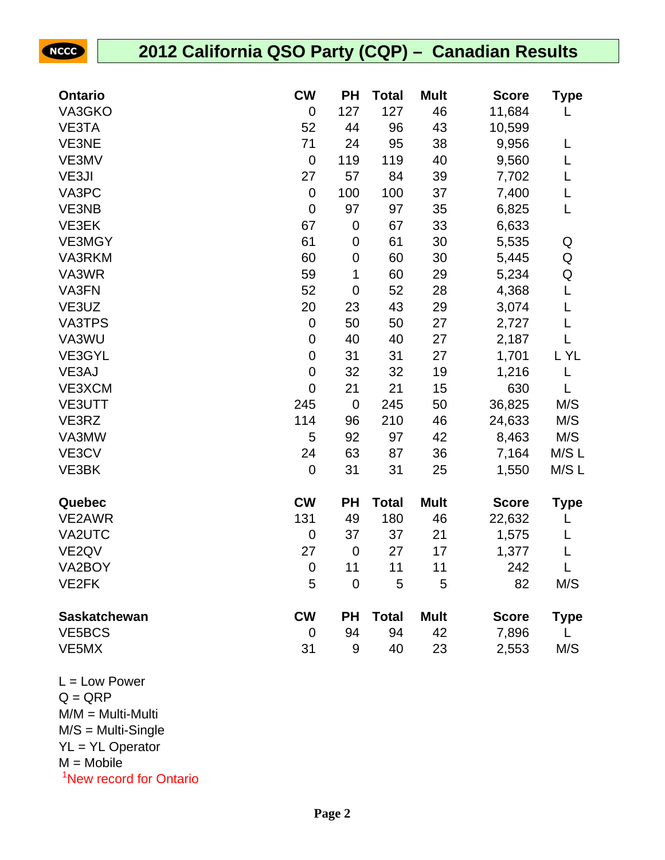| <b>NCCC</b>         | 2012 California QSO Party (CQP) - Canadian Results |                |              |             |              |       |  |
|---------------------|----------------------------------------------------|----------------|--------------|-------------|--------------|-------|--|
|                     |                                                    |                |              |             |              |       |  |
| <b>Ontario</b>      | <b>CW</b>                                          | <b>PH</b>      | <b>Total</b> | <b>Mult</b> | <b>Score</b> | Type  |  |
| VA3GKO              | $\mathbf 0$                                        | 127            | 127          | 46          | 11,684       |       |  |
| VE3TA               | 52                                                 | 44             | 96           | 43          | 10,599       |       |  |
| VE3NE               | 71                                                 | 24             | 95           | 38          | 9,956        | L     |  |
| VE3MV               | $\mathbf 0$                                        | 119            | 119          | 40          | 9,560        | L     |  |
| VE3JI               | 27                                                 | 57             | 84           | 39          | 7,702        |       |  |
| VA3PC               | $\mathbf 0$                                        | 100            | 100          | 37          | 7,400        | L     |  |
| VE3NB               | $\mathbf 0$                                        | 97             | 97           | 35          | 6,825        | L     |  |
| VE3EK               | 67                                                 | $\mathbf 0$    | 67           | 33          | 6,633        |       |  |
| <b>VE3MGY</b>       | 61                                                 | $\mathbf 0$    | 61           | 30          | 5,535        | Q     |  |
| VA3RKM              | 60                                                 | $\mathbf 0$    | 60           | 30          | 5,445        | Q     |  |
| VA3WR               | 59                                                 | 1              | 60           | 29          | 5,234        | Q     |  |
| VA3FN               | 52                                                 | $\mathbf 0$    | 52           | 28          | 4,368        | L     |  |
| VE3UZ               | 20                                                 | 23             | 43           | 29          | 3,074        | L     |  |
| <b>VA3TPS</b>       | $\mathbf 0$                                        | 50             | 50           | 27          | 2,727        | L     |  |
| VA3WU               | $\mathbf 0$                                        | 40             | 40           | 27          | 2,187        | L     |  |
| VE3GYL              | $\mathbf 0$                                        | 31             | 31           | 27          | 1,701        | L YL  |  |
| VE3AJ               | $\mathbf 0$                                        | 32             | 32           | 19          | 1,216        |       |  |
| VE3XCM              | $\mathbf 0$                                        | 21             | 21           | 15          | 630          |       |  |
| VE3UTT              | 245                                                | $\mathbf 0$    | 245          | 50          | 36,825       | M/S   |  |
| VE3RZ               | 114                                                | 96             | 210          | 46          | 24,633       | M/S   |  |
| VA3MW               | 5                                                  | 92             | 97           | 42          | 8,463        | M/S   |  |
| VE3CV               | 24                                                 | 63             | 87           | 36          | 7,164        | M/S L |  |
| VE3BK               | $\mathbf 0$                                        | 31             | 31           | 25          | 1,550        | M/S L |  |
| Quebec              | <b>CW</b>                                          | <b>PH</b>      | <b>Total</b> | <b>Mult</b> | <b>Score</b> | Type  |  |
| VE2AWR              | 131                                                | 49             | 180          | 46          | 22,632       | L     |  |
| VA2UTC              | $\boldsymbol{0}$                                   | 37             | 37           | 21          | 1,575        | L     |  |
| VE <sub>2QV</sub>   | 27                                                 | $\overline{0}$ | 27           | 17          | 1,377        |       |  |
| VA2BOY              | $\mathbf 0$                                        | 11             | 11           | 11          | 242          |       |  |
| VE2FK               | 5                                                  | $\overline{0}$ | 5            | 5           | 82           | M/S   |  |
| <b>Saskatchewan</b> | <b>CW</b>                                          | <b>PH</b>      | <b>Total</b> | <b>Mult</b> | <b>Score</b> | Type  |  |
| VE5BCS              | $\mathbf 0$                                        | 94             | 94           | 42          | 7,896        |       |  |
| VE5MX               | 31                                                 | 9              | 40           | 23          | 2,553        | M/S   |  |

 $L = Low Power$  $Q = QRP$ M/M = Multi-Multi M/S = Multi-Single YL = YL Operator  $M = Mobile$ <sup>1</sup>New record for Ontario